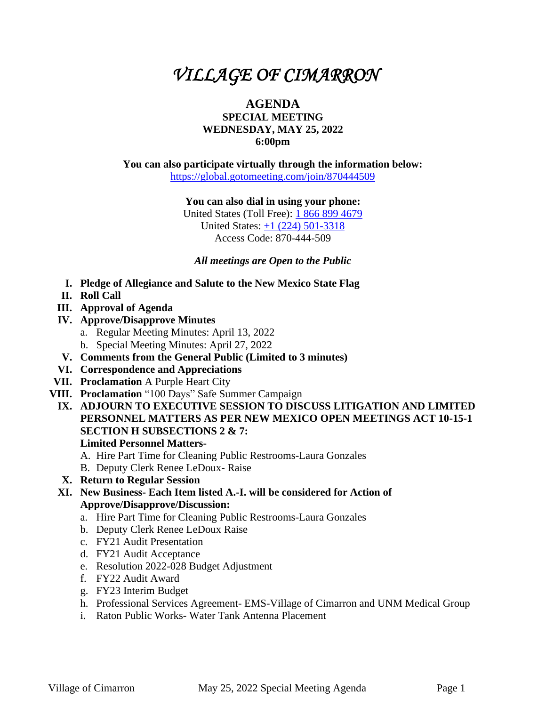# *VILLAGE OF CIMARRON*

## **AGENDA SPECIAL MEETING WEDNESDAY, MAY 25, 2022 6:00pm**

**You can also participate virtually through the information below:** <https://global.gotomeeting.com/join/870444509>

**You can also dial in using your phone:**

United States (Toll Free): [1 866 899 4679](tel:+18668994679,,870444509) United States: [+1 \(224\) 501-3318](tel:+12245013318,,870444509) Access Code: 870-444-509

*All meetings are Open to the Public*

- **I. Pledge of Allegiance and Salute to the New Mexico State Flag**
- **II. Roll Call**
- **III. Approval of Agenda**
- **IV. Approve/Disapprove Minutes**
	- a. Regular Meeting Minutes: April 13, 2022
	- b. Special Meeting Minutes: April 27, 2022
- **V. Comments from the General Public (Limited to 3 minutes)**
- **VI. Correspondence and Appreciations**
- **VII. Proclamation** A Purple Heart City
- **VIII. Proclamation** "100 Days" Safe Summer Campaign
- **IX. ADJOURN TO EXECUTIVE SESSION TO DISCUSS LITIGATION AND LIMITED PERSONNEL MATTERS AS PER NEW MEXICO OPEN MEETINGS ACT 10-15-1 SECTION H SUBSECTIONS 2 & 7: Limited Personnel Matters-**
	- A. Hire Part Time for Cleaning Public Restrooms-Laura Gonzales
	- B. Deputy Clerk Renee LeDoux- Raise
	- **X. Return to Regular Session**
- **XI. New Business- Each Item listed A.-I. will be considered for Action of Approve/Disapprove/Discussion:**
	- a. Hire Part Time for Cleaning Public Restrooms-Laura Gonzales
	- b. Deputy Clerk Renee LeDoux Raise
	- c. FY21 Audit Presentation
	- d. FY21 Audit Acceptance
	- e. Resolution 2022-028 Budget Adjustment
	- f. FY22 Audit Award
	- g. FY23 Interim Budget
	- h. Professional Services Agreement- EMS-Village of Cimarron and UNM Medical Group
	- i. Raton Public Works- Water Tank Antenna Placement